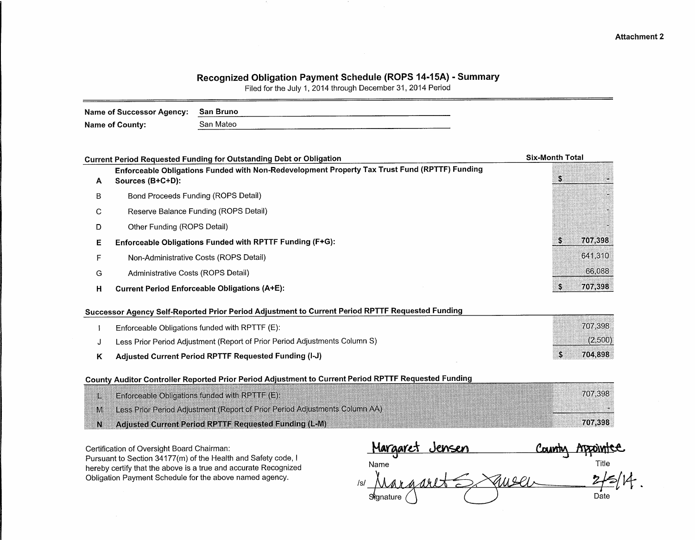# Recognized Obligation Payment Schedule (ROPS 14-15A) - Summary

Filed for the July 1, 2014 through December 31, 2014 Period

| Name of Successor Agency: | San Bruno                                                                                     |                        |
|---------------------------|-----------------------------------------------------------------------------------------------|------------------------|
| Name of County:           | San Mateo                                                                                     |                        |
|                           |                                                                                               |                        |
|                           | <b>Current Period Requested Funding for Outstanding Debt or Obligation</b>                    | <b>Six-Month Total</b> |
|                           | Enforceable Obligations Funded with Non-Redevelopment Property Tax Trust Fund (RPTTF) Funding |                        |

| A | Sources (B+C+D):                                         |         |
|---|----------------------------------------------------------|---------|
| B | Bond Proceeds Funding (ROPS Detail)                      |         |
| C | Reserve Balance Funding (ROPS Detail)                    |         |
| D | Other Funding (ROPS Detail)                              |         |
| Е | Enforceable Obligations Funded with RPTTF Funding (F+G): | 707,398 |
|   | Non-Administrative Costs (ROPS Detail)                   | 641,310 |
| G | Administrative Costs (ROPS Detail)                       | 66,088  |
| н | <b>Current Period Enforceable Obligations (A+E):</b>     | 707.398 |

# Successor Agency Self-Reported Prior Period Adjustment to Current Period RPTTF Requested Funding

| Adjusted Current Period RPTTF Requested Funding (I-J)                      | 704.898 |
|----------------------------------------------------------------------------|---------|
| Less Prior Period Adjustment (Report of Prior Period Adjustments Column S) | (2,500) |
| Enforceable Obligations funded with RPTTF (E):                             | 707.398 |

## County Auditor Controller Reported Prior Period Adjustment to Current Period RPTTF Requested Funding

|    | <b>Enforceable Obligations funded with RPTTF (E)</b>                        |  | 707.398 |
|----|-----------------------------------------------------------------------------|--|---------|
| M. | Less Prior Period Adjustment (Report of Prior Period Adjustments Column AA) |  |         |
|    | Adiusted Current Period RPTTF Requested Funding (L-M)                       |  | 707.398 |

Certification of Oversight Board Chairman:

Pursuant to Section 34177(m) of the Health and Safety code, I hereby certify that the above is a true and accurate Recognized Obligation Payment Schedule for the above named agency.

| Margaret Jensen |                 | <u>Countr</u> | Appointee |
|-----------------|-----------------|---------------|-----------|
| Name            |                 |               | Title     |
| /s/             | $h$ a and $\pm$ |               |           |
| Signature       |                 |               | Date      |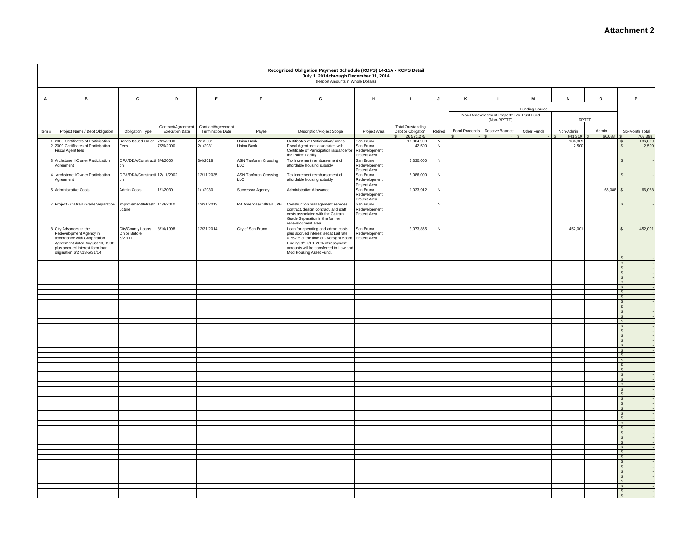|        |                                                                                                                                                                                            |                                              |                                             |                                        |                                     | Recognized Obligation Payment Schedule (ROPS) 14-15A - ROPS Detail<br>July 1, 2014 through December 31, 2014<br>(Report Amounts in Whole Dollars)                                                                               |                                            |                                                              |         |                      |                                                          |                |                      |                 |                               |         |
|--------|--------------------------------------------------------------------------------------------------------------------------------------------------------------------------------------------|----------------------------------------------|---------------------------------------------|----------------------------------------|-------------------------------------|---------------------------------------------------------------------------------------------------------------------------------------------------------------------------------------------------------------------------------|--------------------------------------------|--------------------------------------------------------------|---------|----------------------|----------------------------------------------------------|----------------|----------------------|-----------------|-------------------------------|---------|
| A      | $\, {\bf B} \,$                                                                                                                                                                            | $\mathbf c$                                  | D                                           | $\mathsf E$                            | F.                                  | G                                                                                                                                                                                                                               | H                                          | $\mathbf{I}$                                                 | J       | к                    | L                                                        | M              | $\,$ N               | $\mathsf{o}$    | P                             |         |
|        |                                                                                                                                                                                            |                                              |                                             |                                        |                                     |                                                                                                                                                                                                                                 |                                            |                                                              |         |                      |                                                          | Funding Source |                      |                 |                               |         |
|        |                                                                                                                                                                                            |                                              |                                             |                                        |                                     |                                                                                                                                                                                                                                 |                                            |                                                              |         |                      | Non-Redevelopment Property Tax Trust Fund<br>(Non-RPTTF) |                |                      | <b>RPTTF</b>    |                               |         |
| Item # | Project Name / Debt Obligation                                                                                                                                                             | Obligation Type                              | Contract/Agreement<br><b>Execution Date</b> | Contract/Agreement<br>Termination Date | Payee                               | Description/Project Scope                                                                                                                                                                                                       | Project Area                               | <b>Total Outstanding</b><br>Debt or Obligation<br>26,571,275 | Retired | <b>Bond Proceeds</b> | Reserve Balance                                          | Other Funds    | Non-Admin<br>641,310 | Admin<br>66,088 | Six-Month Total               | 707,398 |
|        | 1 2000 Certificates of Participation                                                                                                                                                       | Bonds Issued On or 7/25/2000                 |                                             | 2/1/2031                               | Union Bank                          | Certificates of Participation/Bonds                                                                                                                                                                                             | San Bruno                                  | 11,004,998                                                   | N       |                      |                                                          |                | 186,809              |                 |                               | 186,809 |
|        | 2 2000 Certificates of Participation<br>Fiscal Agent fees                                                                                                                                  | Fees                                         | 7/25/2000                                   | 2/1/2031                               | Union Bank                          | Fiscal Agent fees associated with<br>Certificate of Participation issuance for<br>the Police Facility                                                                                                                           | San Bruno<br>Redevelopment<br>Project Area | 42,50                                                        | N       |                      |                                                          |                | 2,500                |                 | $\mathbf{s}$                  | 2,500   |
|        | Archstone II Owner Participation<br>Agreement                                                                                                                                              | OPA/DDA/Constructi 3/4/2005                  |                                             | 3/4/2018                               | <b>ASN Tanforan Crossing</b><br>LLC | Tax increment reimbursement of<br>affordable housing subsidy                                                                                                                                                                    | San Bruno<br>Redevelopment<br>Project Area | 3,330,00                                                     | N       |                      |                                                          |                |                      |                 | $\mathbb{S}$                  |         |
|        | 4 Archstone I Owner Participation<br>Agreement                                                                                                                                             | OPA/DDA/Constructi 12/11/2002                |                                             | 12/11/2035                             | ASN Tanforan Crossing<br><b>LLC</b> | Tax increment reimbursement of<br>affordable housing subsidy                                                                                                                                                                    | San Bruno<br>Redevelopment<br>Project Area | 8,086,00                                                     | N       |                      |                                                          |                |                      |                 | $\mathfrak{s}$                |         |
|        | 5 Administrative Costs                                                                                                                                                                     | Admin Costs                                  | 1/1/2030                                    | 1/1/2030                               | Successor Agency                    | Administrative Allowance                                                                                                                                                                                                        | San Bruno<br>Redevelopment<br>Project Area | 1,033,912                                                    | N       |                      |                                                          |                |                      | 66,088          | $\mathbf{s}$                  | 66,088  |
|        | 7 Project - Caltrain Grade Separation                                                                                                                                                      | Improvement/Infrastr 11/9/2010<br>ucture     |                                             | 12/31/2013                             | PB Americas/Caltrain JPB            | Construction management services<br>contract, design contract, and staff<br>costs associated with the Caltrain<br>Grade Separation in the former<br>redevelopment area                                                          | San Bruno<br>Redevelopment<br>Project Area |                                                              | N       |                      |                                                          |                |                      |                 | \$                            |         |
|        | 8 City Advances to the<br>Redevelopment Agency in<br>accordance with Cooperation<br>Agreement dated August 10, 1998<br>plus accrued interest form loan<br>.<br>origination 6/27/13-5/31/14 | City/County Loans<br>On or Before<br>6/27/11 | 8/10/1998                                   | 12/31/2014                             | City of San Bruno                   | Loan for operating and admin costs<br>plus accrued interest set at Laif rate<br>0.257% at the time of Oversight Board<br>Finding 9/17/13. 20% of repayment<br>amounts will be transferred to Low and<br>Mod Housing Asset Fund. | San Bruno<br>Redevelopment<br>Project Area | 3,073,865                                                    | Z       |                      |                                                          |                | 452,001              |                 | $\mathsf{s}$                  | 452,001 |
|        |                                                                                                                                                                                            |                                              |                                             |                                        |                                     |                                                                                                                                                                                                                                 |                                            |                                                              |         |                      |                                                          |                |                      |                 | $\sqrt{s}$<br>$\mathsf{S}$    |         |
|        |                                                                                                                                                                                            |                                              |                                             |                                        |                                     |                                                                                                                                                                                                                                 |                                            |                                                              |         |                      |                                                          |                |                      |                 | $\frac{1}{2}$                 |         |
|        |                                                                                                                                                                                            |                                              |                                             |                                        |                                     |                                                                                                                                                                                                                                 |                                            |                                                              |         |                      |                                                          |                |                      |                 | $\sqrt{s}$<br>$\mathcal{S}$   |         |
|        |                                                                                                                                                                                            |                                              |                                             |                                        |                                     |                                                                                                                                                                                                                                 |                                            |                                                              |         |                      |                                                          |                |                      |                 | $\sqrt{s}$                    |         |
|        |                                                                                                                                                                                            |                                              |                                             |                                        |                                     |                                                                                                                                                                                                                                 |                                            |                                                              |         |                      |                                                          |                |                      |                 | $\frac{1}{2}$<br><b>S</b>     |         |
|        |                                                                                                                                                                                            |                                              |                                             |                                        |                                     |                                                                                                                                                                                                                                 |                                            |                                                              |         |                      |                                                          |                |                      |                 | <b>S</b>                      |         |
|        |                                                                                                                                                                                            |                                              |                                             |                                        |                                     |                                                                                                                                                                                                                                 |                                            |                                                              |         |                      |                                                          |                |                      |                 | $\mathcal{S}$<br>$\mathbf{s}$ |         |
|        |                                                                                                                                                                                            |                                              |                                             |                                        |                                     |                                                                                                                                                                                                                                 |                                            |                                                              |         |                      |                                                          |                |                      |                 | $\mathbf{s}$                  |         |
|        |                                                                                                                                                                                            |                                              |                                             |                                        |                                     |                                                                                                                                                                                                                                 |                                            |                                                              |         |                      |                                                          |                |                      |                 | $\sqrt{s}$<br>$\sqrt{s}$      |         |
|        |                                                                                                                                                                                            |                                              |                                             |                                        |                                     |                                                                                                                                                                                                                                 |                                            |                                                              |         |                      |                                                          |                |                      |                 | $\sqrt{s}$                    |         |
|        |                                                                                                                                                                                            |                                              |                                             |                                        |                                     |                                                                                                                                                                                                                                 |                                            |                                                              |         |                      |                                                          |                |                      |                 | $\sqrt{s}$<br>$\sqrt{s}$      |         |
|        |                                                                                                                                                                                            |                                              |                                             |                                        |                                     |                                                                                                                                                                                                                                 |                                            |                                                              |         |                      |                                                          |                |                      |                 | $\mathsf{s}$                  |         |
|        |                                                                                                                                                                                            |                                              |                                             |                                        |                                     |                                                                                                                                                                                                                                 |                                            |                                                              |         |                      |                                                          |                |                      |                 | $\sqrt{3}$<br>$\mathbf{s}$    |         |
|        |                                                                                                                                                                                            |                                              |                                             |                                        |                                     |                                                                                                                                                                                                                                 |                                            |                                                              |         |                      |                                                          |                |                      |                 | <b>S</b><br>$\sqrt{5}$        |         |
|        |                                                                                                                                                                                            |                                              |                                             |                                        |                                     |                                                                                                                                                                                                                                 |                                            |                                                              |         |                      |                                                          |                |                      |                 | l s                           |         |
|        |                                                                                                                                                                                            |                                              |                                             |                                        |                                     |                                                                                                                                                                                                                                 |                                            |                                                              |         |                      |                                                          |                |                      |                 | $\mathsf{s}$<br>$\sqrt{S}$    |         |
|        |                                                                                                                                                                                            |                                              |                                             |                                        |                                     |                                                                                                                                                                                                                                 |                                            |                                                              |         |                      |                                                          |                |                      |                 | $\sqrt{s}$                    |         |
|        |                                                                                                                                                                                            |                                              |                                             |                                        |                                     |                                                                                                                                                                                                                                 |                                            |                                                              |         |                      |                                                          |                |                      |                 | S.<br>$\mathsf{s}$            |         |
|        |                                                                                                                                                                                            |                                              |                                             |                                        |                                     |                                                                                                                                                                                                                                 |                                            |                                                              |         |                      |                                                          |                |                      |                 | $\sqrt{s}$                    |         |
|        |                                                                                                                                                                                            |                                              |                                             |                                        |                                     |                                                                                                                                                                                                                                 |                                            |                                                              |         |                      |                                                          |                |                      |                 | $\sqrt{s}$<br>l s             |         |
|        |                                                                                                                                                                                            |                                              |                                             |                                        |                                     |                                                                                                                                                                                                                                 |                                            |                                                              |         |                      |                                                          |                |                      |                 | $\sqrt{s}$                    |         |
|        |                                                                                                                                                                                            |                                              |                                             |                                        |                                     |                                                                                                                                                                                                                                 |                                            |                                                              |         |                      |                                                          |                |                      |                 | $\sqrt{s}$<br>S <sub>s</sub>  |         |
|        |                                                                                                                                                                                            |                                              |                                             |                                        |                                     |                                                                                                                                                                                                                                 |                                            |                                                              |         |                      |                                                          |                |                      |                 | $\mathsf{S}$<br>$\sqrt{s}$    |         |
|        |                                                                                                                                                                                            |                                              |                                             |                                        |                                     |                                                                                                                                                                                                                                 |                                            |                                                              |         |                      |                                                          |                |                      |                 | IS.                           |         |
|        |                                                                                                                                                                                            |                                              |                                             |                                        |                                     |                                                                                                                                                                                                                                 |                                            |                                                              |         |                      |                                                          |                |                      |                 | $\sqrt{s}$<br>$\sqrt{s}$      |         |
|        |                                                                                                                                                                                            |                                              |                                             |                                        |                                     |                                                                                                                                                                                                                                 |                                            |                                                              |         |                      |                                                          |                |                      |                 | I S                           |         |
|        |                                                                                                                                                                                            |                                              |                                             |                                        |                                     |                                                                                                                                                                                                                                 |                                            |                                                              |         |                      |                                                          |                |                      |                 | <b>S</b><br>$\sqrt{s}$        |         |
|        |                                                                                                                                                                                            |                                              |                                             |                                        |                                     |                                                                                                                                                                                                                                 |                                            |                                                              |         |                      |                                                          |                |                      |                 | $\mathbf{s}$                  |         |
|        |                                                                                                                                                                                            |                                              |                                             |                                        |                                     |                                                                                                                                                                                                                                 |                                            |                                                              |         |                      |                                                          |                |                      |                 | $\mathsf{S}$<br>$\mathbf{s}$  |         |
|        |                                                                                                                                                                                            |                                              |                                             |                                        |                                     |                                                                                                                                                                                                                                 |                                            |                                                              |         |                      |                                                          |                |                      |                 | $\mathfrak{s}$                |         |
|        |                                                                                                                                                                                            |                                              |                                             |                                        |                                     |                                                                                                                                                                                                                                 |                                            |                                                              |         |                      |                                                          |                |                      |                 | <b>S</b><br>$\frac{1}{2}$     |         |
|        |                                                                                                                                                                                            |                                              |                                             |                                        |                                     |                                                                                                                                                                                                                                 |                                            |                                                              |         |                      |                                                          |                |                      |                 | - \$                          |         |
|        |                                                                                                                                                                                            |                                              |                                             |                                        |                                     |                                                                                                                                                                                                                                 |                                            |                                                              |         |                      |                                                          |                |                      |                 | $\mathcal{S}$                 |         |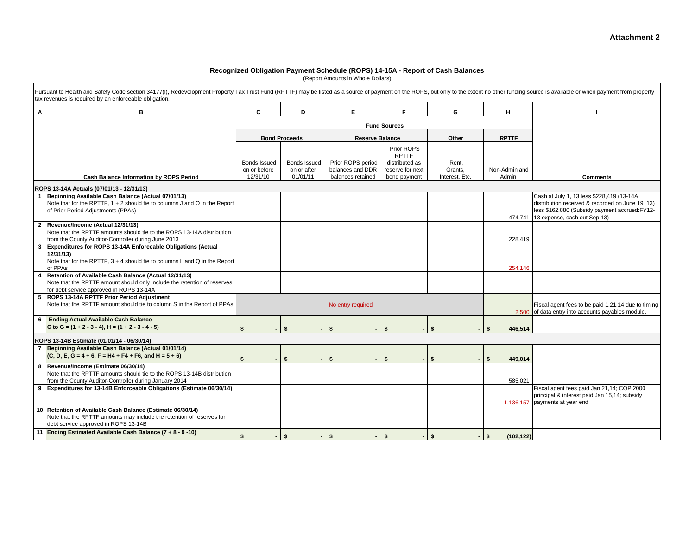### **Attachment 2**

#### **Recognized Obligation Payment Schedule (ROPS) 14-15A - Report of Cash Balances**

(Report Amounts in Whole Dollars)

|                | Pursuant to Health and Safety Code section 34177(I), Redevelopment Property Tax Trust Fund (RPTTF) may be listed as a source of payment on the ROPS, but only to the extent no other funding source is available or when payme<br>tax revenues is required by an enforceable obligation. |                              |                             |                                       |                                    |                  |                       |                                                                                                                                                                                        |
|----------------|------------------------------------------------------------------------------------------------------------------------------------------------------------------------------------------------------------------------------------------------------------------------------------------|------------------------------|-----------------------------|---------------------------------------|------------------------------------|------------------|-----------------------|----------------------------------------------------------------------------------------------------------------------------------------------------------------------------------------|
| Α              | в                                                                                                                                                                                                                                                                                        | C                            | D                           | Е                                     | F                                  | G                | н                     |                                                                                                                                                                                        |
|                |                                                                                                                                                                                                                                                                                          |                              |                             |                                       | <b>Fund Sources</b>                |                  |                       |                                                                                                                                                                                        |
|                |                                                                                                                                                                                                                                                                                          |                              | <b>Bond Proceeds</b>        | <b>Reserve Balance</b>                |                                    | Other            | <b>RPTTF</b>          |                                                                                                                                                                                        |
|                |                                                                                                                                                                                                                                                                                          |                              |                             |                                       | Prior ROPS<br><b>RPTTF</b>         |                  |                       |                                                                                                                                                                                        |
|                |                                                                                                                                                                                                                                                                                          | Bonds Issued<br>on or before | Bonds Issued<br>on or after | Prior ROPS period<br>balances and DDR | distributed as<br>reserve for next | Rent,<br>Grants, | Non-Admin and         |                                                                                                                                                                                        |
|                | <b>Cash Balance Information by ROPS Period</b>                                                                                                                                                                                                                                           | 12/31/10                     | 01/01/11                    | balances retained                     | bond payment                       | Interest, Etc.   | Admin                 | <b>Comments</b>                                                                                                                                                                        |
|                | ROPS 13-14A Actuals (07/01/13 - 12/31/13)                                                                                                                                                                                                                                                |                              |                             |                                       |                                    |                  |                       |                                                                                                                                                                                        |
|                | Beginning Available Cash Balance (Actual 07/01/13)<br>Note that for the RPTTF, 1 + 2 should tie to columns J and O in the Report<br>of Prior Period Adjustments (PPAs)                                                                                                                   |                              |                             |                                       |                                    |                  |                       | Cash at July 1, 13 less \$228,419 (13-14A<br>distribution received & recorded on June 19, 13)<br>less \$162,880 (Subsidy payment accrued:FY12-<br>474.741 13 expense, cash out Sep 13) |
| $\overline{2}$ | Revenue/Income (Actual 12/31/13)<br>Note that the RPTTF amounts should tie to the ROPS 13-14A distribution<br>from the County Auditor-Controller during June 2013                                                                                                                        |                              |                             |                                       |                                    |                  | 228,419               |                                                                                                                                                                                        |
| 3              | Expenditures for ROPS 13-14A Enforceable Obligations (Actual<br>12/31/13<br>Note that for the RPTTF, $3 + 4$ should tie to columns L and Q in the Report<br>of PPAs                                                                                                                      |                              |                             |                                       |                                    |                  | 254,146               |                                                                                                                                                                                        |
| 4              | Retention of Available Cash Balance (Actual 12/31/13)<br>Note that the RPTTF amount should only include the retention of reserves<br>for debt service approved in ROPS 13-14A                                                                                                            |                              |                             |                                       |                                    |                  |                       |                                                                                                                                                                                        |
|                | 5 ROPS 13-14A RPTTF Prior Period Adjustment<br>Note that the RPTTF amount should tie to column S in the Report of PPAs.                                                                                                                                                                  |                              |                             | No entry required                     |                                    |                  | 2,500                 | Fiscal agent fees to be paid 1.21.14 due to timing<br>of data entry into accounts payables module.                                                                                     |
|                | 6 Ending Actual Available Cash Balance<br>C to G = $(1 + 2 - 3 - 4)$ , H = $(1 + 2 - 3 - 4 - 5)$                                                                                                                                                                                         | \$                           | $\mathbf{s}$                | \$                                    | \$                                 | $\mathbf{s}$     | 446,514               |                                                                                                                                                                                        |
|                | ROPS 13-14B Estimate (01/01/14 - 06/30/14)                                                                                                                                                                                                                                               |                              |                             |                                       |                                    |                  |                       |                                                                                                                                                                                        |
|                | 7 Beginning Available Cash Balance (Actual 01/01/14)<br>$(C, D, E, G = 4 + 6, F = H4 + F4 + F6, and H = 5 + 6)$                                                                                                                                                                          |                              | \$                          |                                       | \$                                 |                  | 449,014               |                                                                                                                                                                                        |
| 8              | Revenue/Income (Estimate 06/30/14)<br>Note that the RPTTF amounts should tie to the ROPS 13-14B distribution<br>from the County Auditor-Controller during January 2014                                                                                                                   |                              |                             |                                       |                                    |                  | 585,021               |                                                                                                                                                                                        |
|                | 9 Expenditures for 13-14B Enforceable Obligations (Estimate 06/30/14)                                                                                                                                                                                                                    |                              |                             |                                       |                                    |                  | 1,136,157             | Fiscal agent fees paid Jan 21,14; COP 2000<br>principal & interest paid Jan 15,14; subsidy<br>payments at year end                                                                     |
|                | 10 Retention of Available Cash Balance (Estimate 06/30/14)<br>Note that the RPTTF amounts may include the retention of reserves for<br>debt service approved in ROPS 13-14B                                                                                                              |                              |                             |                                       |                                    |                  |                       |                                                                                                                                                                                        |
|                | 11 Ending Estimated Available Cash Balance (7 + 8 - 9 -10)                                                                                                                                                                                                                               | \$<br>$\blacksquare$         | \$<br>$\blacksquare$        | \$<br>٠                               | \$                                 | \$               | (102, 122)<br>$-1$ \$ |                                                                                                                                                                                        |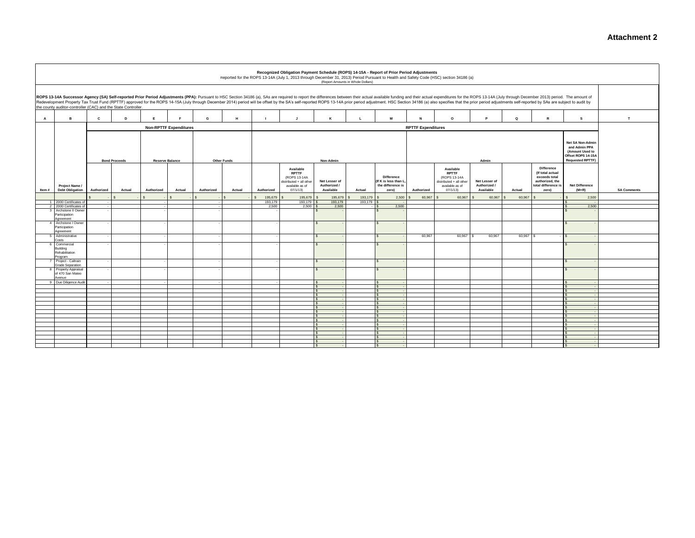|                |                                                               |              |                      |            |                               |            |                    |                  | Recognized Obligation Payment Schedule (ROPS) 14-15A - Report of Prior Period Adjustments |                                            | (Report Amounts in Whole Dollars) |                                                                         |                                  | Reported for the ROPS 13-14A (July 1, 2013 through December 31, 2013) Period Pursuant to Health and Safety Code (HSC) section 34186 (a)                                                                                                                                                                                                                                                                                                                          |                                            |             |                                                                                      |                                                                                                       |                    |
|----------------|---------------------------------------------------------------|--------------|----------------------|------------|-------------------------------|------------|--------------------|------------------|-------------------------------------------------------------------------------------------|--------------------------------------------|-----------------------------------|-------------------------------------------------------------------------|----------------------------------|------------------------------------------------------------------------------------------------------------------------------------------------------------------------------------------------------------------------------------------------------------------------------------------------------------------------------------------------------------------------------------------------------------------------------------------------------------------|--------------------------------------------|-------------|--------------------------------------------------------------------------------------|-------------------------------------------------------------------------------------------------------|--------------------|
|                | the county auditor-controller (CAC) and the State Controller. |              |                      |            |                               |            |                    |                  |                                                                                           |                                            |                                   |                                                                         |                                  | ROPS 13-14A Successor Agency (SA) Self-reported Prior Period Adjustments (PPA): Pursuant to HSC Section 34186 (a), SAs are required to report the differences between their actual available funding and their actual expendit<br>Redevelopment Property Tax Trust Fund (RPTTF) approved for the ROPS 14-15A (July through December 2014) period will be offset by the SA's self-reported ROPS 13-14A prior period adjustment. HSC Section 34186 (a) also specif |                                            |             |                                                                                      |                                                                                                       |                    |
| $\mathbf{A}$   | в                                                             | $\mathbf{c}$ | D                    | E          | E                             | G          | H                  |                  | $\mathbf{J}$                                                                              | к                                          | $\mathbf{L}$                      | M                                                                       | $\mathbf{N}$                     | $\circ$                                                                                                                                                                                                                                                                                                                                                                                                                                                          | P.                                         | $\mathbf Q$ | R                                                                                    | s                                                                                                     | T                  |
|                |                                                               |              |                      |            | <b>Non-RPTTF Expenditures</b> |            |                    |                  |                                                                                           |                                            |                                   |                                                                         | <b>RPTTF Expenditures</b>        |                                                                                                                                                                                                                                                                                                                                                                                                                                                                  |                                            |             |                                                                                      |                                                                                                       |                    |
|                |                                                               |              | <b>Bond Proceeds</b> |            | <b>Reserve Balance</b>        |            | <b>Other Funds</b> |                  | Available                                                                                 | Non-Admin                                  |                                   |                                                                         |                                  | Available                                                                                                                                                                                                                                                                                                                                                                                                                                                        | Admin                                      |             | <b>Difference</b>                                                                    | Net SA Non-Admin<br>and Admin PPA<br>(Amount Used to<br>Offset ROPS 14-15A<br><b>Requested RPTTF)</b> |                    |
| Item#          | Project Name /<br><b>Debt Obligation</b>                      | Authorized   | Actual               | Authorized | Actual                        | Authorized | Actual             | Authorized       | <b>RPTTF</b><br>(ROPS 13-14A<br>distributed + all other<br>available as of<br>07/1/13     | Net Lesser of<br>Authorized /<br>Available | Actual                            | <b>Difference</b><br>(If K is less than L<br>the difference is<br>zero) | Authorized                       | <b>RPTTF</b><br>(ROPS 13-14A<br>distributed + all other<br>available as of<br>07/1/13                                                                                                                                                                                                                                                                                                                                                                            | Net Lesser of<br>Authorized /<br>Available | Actual      | (If total actual<br>exceeds total<br>authorized, the<br>total difference is<br>zero) | <b>Net Difference</b><br>$(M+R)$                                                                      | <b>SA Comments</b> |
|                |                                                               |              |                      |            |                               |            |                    | 195,679          | 195,679                                                                                   | 195,679                                    | 193,179                           |                                                                         | 2,500<br>60,967                  | 60,967                                                                                                                                                                                                                                                                                                                                                                                                                                                           | 60,967                                     | 60,967      |                                                                                      | 2,500                                                                                                 |                    |
|                | 1 2000 Certificates o<br>2 2000 Certificates of               |              |                      |            |                               |            |                    | 193,179<br>2,500 | 193.179 \$<br>$2,500$ \$                                                                  | 193,179<br>2,500                           | 193,179                           | 2,500<br>$\sqrt{S}$                                                     |                                  |                                                                                                                                                                                                                                                                                                                                                                                                                                                                  |                                            |             |                                                                                      | 2.500                                                                                                 |                    |
|                | 3 Archstone II Owner<br>Participation<br>Agreement            |              |                      |            |                               |            |                    |                  |                                                                                           |                                            |                                   |                                                                         |                                  |                                                                                                                                                                                                                                                                                                                                                                                                                                                                  |                                            |             |                                                                                      |                                                                                                       |                    |
| $\overline{a}$ | Archstone I Owner<br>Participation<br>Agreement               |              |                      |            |                               |            |                    |                  |                                                                                           |                                            |                                   | $\sim$                                                                  |                                  |                                                                                                                                                                                                                                                                                                                                                                                                                                                                  |                                            |             |                                                                                      |                                                                                                       |                    |
|                | 5 Administrative<br>Costs                                     |              |                      |            |                               |            |                    |                  |                                                                                           | $\mathbf{\hat{s}}$                         |                                   | $\mathbf{s}$                                                            | 60,967                           | 60,967 \$                                                                                                                                                                                                                                                                                                                                                                                                                                                        | 60,967                                     | 60,967 \$   |                                                                                      |                                                                                                       |                    |
|                | 6 Commercial<br>Building<br>Rehabilitation<br>Program         |              |                      |            |                               |            |                    |                  |                                                                                           |                                            |                                   | $\sim$                                                                  |                                  |                                                                                                                                                                                                                                                                                                                                                                                                                                                                  |                                            |             |                                                                                      |                                                                                                       |                    |
|                | Project - Caltrain<br><b>Grade Separation</b>                 |              |                      |            |                               |            |                    |                  |                                                                                           | $\mathbf{\hat{s}}$                         |                                   | $\mathbf{s}$                                                            |                                  |                                                                                                                                                                                                                                                                                                                                                                                                                                                                  |                                            |             |                                                                                      |                                                                                                       |                    |
|                | 8 Property Appraisal<br>of 470 San Mateo<br>Avenue            |              |                      |            |                               |            |                    |                  |                                                                                           | $\hat{\mathbf{z}}$                         |                                   | $\mathbf{s}$                                                            |                                  |                                                                                                                                                                                                                                                                                                                                                                                                                                                                  |                                            |             |                                                                                      |                                                                                                       |                    |
|                | 9 Due Diligence Audit                                         |              |                      |            |                               |            |                    |                  |                                                                                           |                                            |                                   | IS.<br>IS.                                                              | $\sim$                           |                                                                                                                                                                                                                                                                                                                                                                                                                                                                  |                                            |             |                                                                                      |                                                                                                       |                    |
|                |                                                               |              |                      |            |                               |            |                    |                  |                                                                                           | $\hat{\mathbf{z}}$                         |                                   | l s                                                                     | $\sim$                           |                                                                                                                                                                                                                                                                                                                                                                                                                                                                  |                                            |             |                                                                                      |                                                                                                       |                    |
|                |                                                               |              |                      |            |                               |            |                    |                  |                                                                                           | S.                                         |                                   | $\mathbf{s}$<br>l s                                                     | ٠.<br>$\sim$                     |                                                                                                                                                                                                                                                                                                                                                                                                                                                                  |                                            |             |                                                                                      |                                                                                                       |                    |
|                |                                                               |              |                      |            |                               |            |                    |                  |                                                                                           | $\mathsf{s}$                               |                                   | l s                                                                     | $\sim$                           |                                                                                                                                                                                                                                                                                                                                                                                                                                                                  |                                            |             |                                                                                      |                                                                                                       |                    |
|                |                                                               |              |                      |            |                               |            |                    |                  |                                                                                           | $\hat{\mathbf{z}}$                         |                                   | IS.                                                                     | <b><i><u>Participate</u></i></b> |                                                                                                                                                                                                                                                                                                                                                                                                                                                                  |                                            |             |                                                                                      |                                                                                                       |                    |
|                |                                                               |              |                      |            |                               |            |                    |                  |                                                                                           | $\mathbf{s}$                               |                                   | IS.<br>l s                                                              | $\sim$                           |                                                                                                                                                                                                                                                                                                                                                                                                                                                                  |                                            |             |                                                                                      |                                                                                                       |                    |
|                |                                                               |              |                      |            |                               |            |                    |                  |                                                                                           | $\sim$                                     |                                   | l s                                                                     | $\sim$                           |                                                                                                                                                                                                                                                                                                                                                                                                                                                                  |                                            |             |                                                                                      |                                                                                                       |                    |
|                |                                                               |              |                      |            |                               |            |                    |                  |                                                                                           |                                            |                                   | $\sim$                                                                  | <b><i><u>ALCO</u></i></b>        |                                                                                                                                                                                                                                                                                                                                                                                                                                                                  |                                            |             |                                                                                      |                                                                                                       |                    |
|                |                                                               |              |                      |            |                               |            |                    |                  |                                                                                           |                                            |                                   | $\sim$                                                                  | $\sim$                           |                                                                                                                                                                                                                                                                                                                                                                                                                                                                  |                                            |             |                                                                                      |                                                                                                       |                    |
|                |                                                               |              |                      |            |                               |            |                    |                  |                                                                                           |                                            |                                   | IS.                                                                     |                                  |                                                                                                                                                                                                                                                                                                                                                                                                                                                                  |                                            |             |                                                                                      |                                                                                                       |                    |
|                |                                                               |              |                      |            |                               |            |                    |                  |                                                                                           | $\mathbf{s}$                               |                                   | $\sim$                                                                  | $\sim$                           |                                                                                                                                                                                                                                                                                                                                                                                                                                                                  |                                            |             |                                                                                      |                                                                                                       |                    |
|                |                                                               |              |                      |            |                               |            |                    |                  |                                                                                           |                                            |                                   | IS.                                                                     |                                  |                                                                                                                                                                                                                                                                                                                                                                                                                                                                  |                                            |             |                                                                                      |                                                                                                       |                    |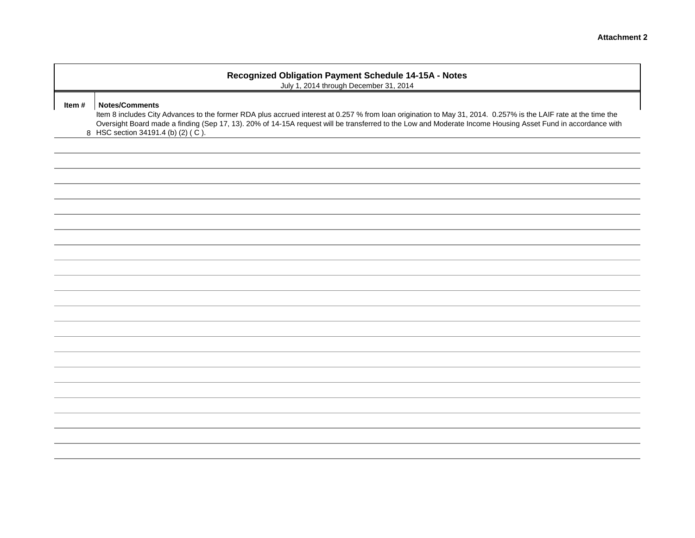| Recognized Obligation Payment Schedule 14-15A - Notes<br>July 1, 2014 through December 31, 2014                                                                                                                                                                                                                                                                                             |  |  |  |  |  |  |  |
|---------------------------------------------------------------------------------------------------------------------------------------------------------------------------------------------------------------------------------------------------------------------------------------------------------------------------------------------------------------------------------------------|--|--|--|--|--|--|--|
| <b>Notes/Comments</b><br>Item 8 includes City Advances to the former RDA plus accrued interest at 0.257 % from loan origination to May 31, 2014. 0.257% is the LAIF rate at the time the<br>Oversight Board made a finding (Sep 17, 13). 20% of 14-15A request will be transferred to the Low and Moderate Income Housing Asset Fund in accordance with<br>HSC section 34191.4 (b) (2) (C). |  |  |  |  |  |  |  |
|                                                                                                                                                                                                                                                                                                                                                                                             |  |  |  |  |  |  |  |
|                                                                                                                                                                                                                                                                                                                                                                                             |  |  |  |  |  |  |  |
|                                                                                                                                                                                                                                                                                                                                                                                             |  |  |  |  |  |  |  |
|                                                                                                                                                                                                                                                                                                                                                                                             |  |  |  |  |  |  |  |
|                                                                                                                                                                                                                                                                                                                                                                                             |  |  |  |  |  |  |  |

**Item # Notes/Comments**

8